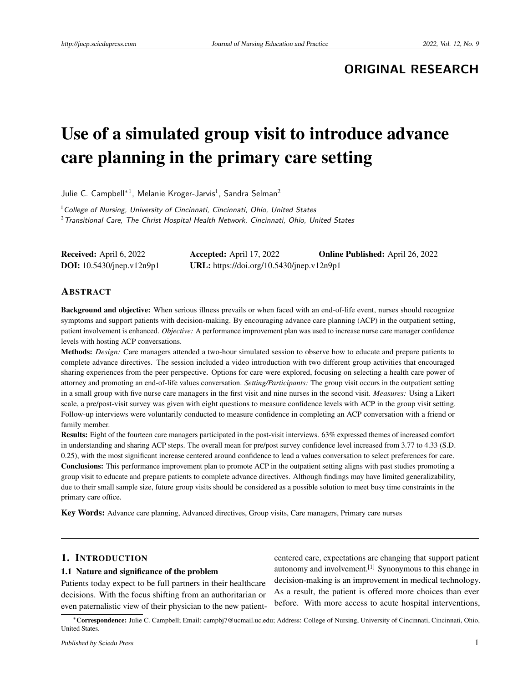**ORIGINAL RESEARCH**

# Use of a simulated group visit to introduce advance care planning in the primary care setting

Julie C. Campbell\*<sup>1</sup>, Melanie Kroger-Jarvis<sup>1</sup>, Sandra Selman<sup>2</sup>

 $1$  College of Nursing, University of Cincinnati, Cincinnati, Ohio, United States  $2$ Transitional Care, The Christ Hospital Health Network, Cincinnati, Ohio, United States

| <b>Received:</b> April 6, 2022     | Accepted: April $17, 2022$                | <b>Online Published:</b> April 26, 2022 |
|------------------------------------|-------------------------------------------|-----------------------------------------|
| <b>DOI:</b> $10.5430/jnep.v12n9p1$ | URL: https://doi.org/10.5430/jnep.v12n9p1 |                                         |

### ABSTRACT

Background and objective: When serious illness prevails or when faced with an end-of-life event, nurses should recognize symptoms and support patients with decision-making. By encouraging advance care planning (ACP) in the outpatient setting, patient involvement is enhanced. *Objective:* A performance improvement plan was used to increase nurse care manager confidence levels with hosting ACP conversations.

Methods: *Design:* Care managers attended a two-hour simulated session to observe how to educate and prepare patients to complete advance directives. The session included a video introduction with two different group activities that encouraged sharing experiences from the peer perspective. Options for care were explored, focusing on selecting a health care power of attorney and promoting an end-of-life values conversation. *Setting/Participants:* The group visit occurs in the outpatient setting in a small group with five nurse care managers in the first visit and nine nurses in the second visit. *Measures:* Using a Likert scale, a pre/post-visit survey was given with eight questions to measure confidence levels with ACP in the group visit setting. Follow-up interviews were voluntarily conducted to measure confidence in completing an ACP conversation with a friend or family member.

Results: Eight of the fourteen care managers participated in the post-visit interviews. 63% expressed themes of increased comfort in understanding and sharing ACP steps. The overall mean for pre/post survey confidence level increased from 3.77 to 4.33 (S.D. 0.25), with the most significant increase centered around confidence to lead a values conversation to select preferences for care. Conclusions: This performance improvement plan to promote ACP in the outpatient setting aligns with past studies promoting a group visit to educate and prepare patients to complete advance directives. Although findings may have limited generalizability, due to their small sample size, future group visits should be considered as a possible solution to meet busy time constraints in the primary care office.

Key Words: Advance care planning, Advanced directives, Group visits, Care managers, Primary care nurses

## 1. INTRODUCTION

#### 1.1 Nature and significance of the problem

Patients today expect to be full partners in their healthcare decisions. With the focus shifting from an authoritarian or even paternalistic view of their physician to the new patientcentered care, expectations are changing that support patient autonomy and involvement.<sup>[\[1\]](#page-5-0)</sup> Synonymous to this change in decision-making is an improvement in medical technology. As a result, the patient is offered more choices than ever before. With more access to acute hospital interventions,

<sup>∗</sup>Correspondence: Julie C. Campbell; Email: campbj7@ucmail.uc.edu; Address: College of Nursing, University of Cincinnati, Cincinnati, Ohio, United States.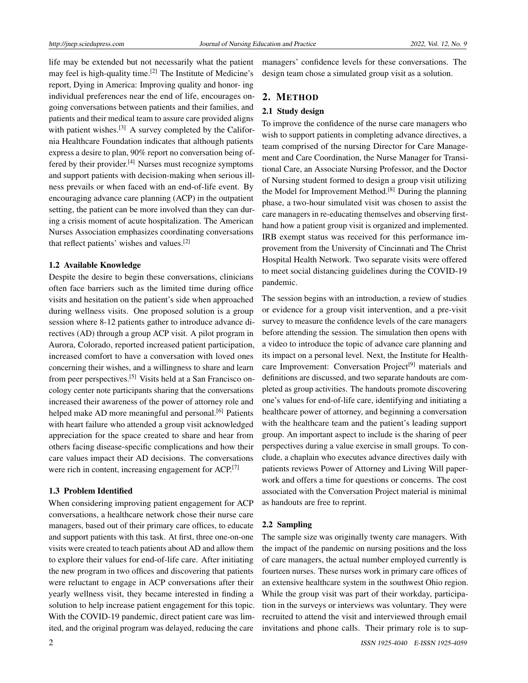life may be extended but not necessarily what the patient may feel is high-quality time.<sup>[\[2\]](#page-5-1)</sup> The Institute of Medicine's report, Dying in America: Improving quality and honor- ing individual preferences near the end of life, encourages ongoing conversations between patients and their families, and patients and their medical team to assure care provided aligns with patient wishes.<sup>[\[3\]](#page-5-2)</sup> A survey completed by the California Healthcare Foundation indicates that although patients express a desire to plan, 90% report no conversation being of-fered by their provider.<sup>[\[4\]](#page-5-3)</sup> Nurses must recognize symptoms and support patients with decision-making when serious illness prevails or when faced with an end-of-life event. By encouraging advance care planning (ACP) in the outpatient setting, the patient can be more involved than they can during a crisis moment of acute hospitalization. The American Nurses Association emphasizes coordinating conversations that reflect patients' wishes and values.[\[2\]](#page-5-1)

# 1.2 Available Knowledge

Despite the desire to begin these conversations, clinicians often face barriers such as the limited time during office visits and hesitation on the patient's side when approached during wellness visits. One proposed solution is a group session where 8-12 patients gather to introduce advance directives (AD) through a group ACP visit. A pilot program in Aurora, Colorado, reported increased patient participation, increased comfort to have a conversation with loved ones concerning their wishes, and a willingness to share and learn from peer perspectives.[\[5\]](#page-5-4) Visits held at a San Francisco oncology center note participants sharing that the conversations increased their awareness of the power of attorney role and helped make AD more meaningful and personal.<sup>[\[6\]](#page-5-5)</sup> Patients with heart failure who attended a group visit acknowledged appreciation for the space created to share and hear from others facing disease-specific complications and how their care values impact their AD decisions. The conversations were rich in content, increasing engagement for ACP.<sup>[\[7\]](#page-5-6)</sup>

## 1.3 Problem Identified

When considering improving patient engagement for ACP conversations, a healthcare network chose their nurse care managers, based out of their primary care offices, to educate and support patients with this task. At first, three one-on-one visits were created to teach patients about AD and allow them to explore their values for end-of-life care. After initiating the new program in two offices and discovering that patients were reluctant to engage in ACP conversations after their yearly wellness visit, they became interested in finding a solution to help increase patient engagement for this topic. With the COVID-19 pandemic, direct patient care was limited, and the original program was delayed, reducing the care

managers' confidence levels for these conversations. The design team chose a simulated group visit as a solution.

# 2. METHOD

# 2.1 Study design

To improve the confidence of the nurse care managers who wish to support patients in completing advance directives, a team comprised of the nursing Director for Care Management and Care Coordination, the Nurse Manager for Transitional Care, an Associate Nursing Professor, and the Doctor of Nursing student formed to design a group visit utilizing the Model for Improvement Method.<sup>[\[8\]](#page-5-7)</sup> During the planning phase, a two-hour simulated visit was chosen to assist the care managers in re-educating themselves and observing firsthand how a patient group visit is organized and implemented. IRB exempt status was received for this performance improvement from the University of Cincinnati and The Christ Hospital Health Network. Two separate visits were offered to meet social distancing guidelines during the COVID-19 pandemic.

The session begins with an introduction, a review of studies or evidence for a group visit intervention, and a pre-visit survey to measure the confidence levels of the care managers before attending the session. The simulation then opens with a video to introduce the topic of advance care planning and its impact on a personal level. Next, the Institute for Health-care Improvement: Conversation Project<sup>[\[9\]](#page-5-8)</sup> materials and definitions are discussed, and two separate handouts are completed as group activities. The handouts promote discovering one's values for end-of-life care, identifying and initiating a healthcare power of attorney, and beginning a conversation with the healthcare team and the patient's leading support group. An important aspect to include is the sharing of peer perspectives during a value exercise in small groups. To conclude, a chaplain who executes advance directives daily with patients reviews Power of Attorney and Living Will paperwork and offers a time for questions or concerns. The cost associated with the Conversation Project material is minimal as handouts are free to reprint.

## 2.2 Sampling

The sample size was originally twenty care managers. With the impact of the pandemic on nursing positions and the loss of care managers, the actual number employed currently is fourteen nurses. These nurses work in primary care offices of an extensive healthcare system in the southwest Ohio region. While the group visit was part of their workday, participation in the surveys or interviews was voluntary. They were recruited to attend the visit and interviewed through email invitations and phone calls. Their primary role is to sup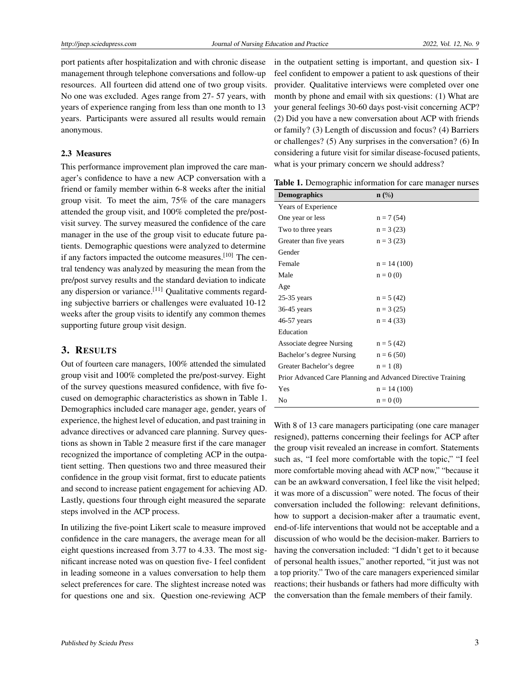port patients after hospitalization and with chronic disease management through telephone conversations and follow-up resources. All fourteen did attend one of two group visits. No one was excluded. Ages range from 27- 57 years, with years of experience ranging from less than one month to 13 years. Participants were assured all results would remain anonymous.

#### 2.3 Measures

This performance improvement plan improved the care manager's confidence to have a new ACP conversation with a friend or family member within 6-8 weeks after the initial group visit. To meet the aim, 75% of the care managers attended the group visit, and 100% completed the pre/postvisit survey. The survey measured the confidence of the care manager in the use of the group visit to educate future patients. Demographic questions were analyzed to determine if any factors impacted the outcome measures.<sup>[\[10\]](#page-5-9)</sup> The central tendency was analyzed by measuring the mean from the pre/post survey results and the standard deviation to indicate any dispersion or variance.<sup>[\[11\]](#page-5-10)</sup> Qualitative comments regarding subjective barriers or challenges were evaluated 10-12 weeks after the group visits to identify any common themes supporting future group visit design.

# 3. RESULTS

Out of fourteen care managers, 100% attended the simulated group visit and 100% completed the pre/post-survey. Eight of the survey questions measured confidence, with five focused on demographic characteristics as shown in Table 1. Demographics included care manager age, gender, years of experience, the highest level of education, and past training in advance directives or advanced care planning. Survey questions as shown in Table 2 measure first if the care manager recognized the importance of completing ACP in the outpatient setting. Then questions two and three measured their confidence in the group visit format, first to educate patients and second to increase patient engagement for achieving AD. Lastly, questions four through eight measured the separate steps involved in the ACP process.

In utilizing the five-point Likert scale to measure improved confidence in the care managers, the average mean for all eight questions increased from 3.77 to 4.33. The most significant increase noted was on question five- I feel confident in leading someone in a values conversation to help them select preferences for care. The slightest increase noted was for questions one and six. Question one-reviewing ACP

in the outpatient setting is important, and question six- I feel confident to empower a patient to ask questions of their provider. Qualitative interviews were completed over one month by phone and email with six questions: (1) What are your general feelings 30-60 days post-visit concerning ACP? (2) Did you have a new conversation about ACP with friends or family? (3) Length of discussion and focus? (4) Barriers or challenges? (5) Any surprises in the conversation? (6) In considering a future visit for similar disease-focused patients, what is your primary concern we should address?

Table 1. Demographic information for care manager nurses

| <b>Demographics</b>                                          | $\mathbf{n}(\%)$ |  |  |
|--------------------------------------------------------------|------------------|--|--|
| Years of Experience                                          |                  |  |  |
| One year or less                                             | $n = 7(54)$      |  |  |
| Two to three years                                           | $n = 3(23)$      |  |  |
| Greater than five years                                      | $n = 3(23)$      |  |  |
| Gender                                                       |                  |  |  |
| Female                                                       | $n = 14(100)$    |  |  |
| Male                                                         | $n = 0(0)$       |  |  |
| Age                                                          |                  |  |  |
| $25-35$ years                                                | $n = 5(42)$      |  |  |
| $36-45$ years                                                | $n = 3(25)$      |  |  |
| 46-57 years                                                  | $n = 4(33)$      |  |  |
| Education                                                    |                  |  |  |
| Associate degree Nursing                                     | $n = 5(42)$      |  |  |
| Bachelor's degree Nursing                                    | $n = 6(50)$      |  |  |
| Greater Bachelor's degree                                    | $n = 1(8)$       |  |  |
| Prior Advanced Care Planning and Advanced Directive Training |                  |  |  |
| Yes                                                          | $n = 14(100)$    |  |  |
| No                                                           | $n = 0(0)$       |  |  |

With 8 of 13 care managers participating (one care manager resigned), patterns concerning their feelings for ACP after the group visit revealed an increase in comfort. Statements such as, "I feel more comfortable with the topic," "I feel more comfortable moving ahead with ACP now," "because it can be an awkward conversation, I feel like the visit helped; it was more of a discussion" were noted. The focus of their conversation included the following: relevant definitions, how to support a decision-maker after a traumatic event, end-of-life interventions that would not be acceptable and a discussion of who would be the decision-maker. Barriers to having the conversation included: "I didn't get to it because of personal health issues," another reported, "it just was not a top priority." Two of the care managers experienced similar reactions; their husbands or fathers had more difficulty with the conversation than the female members of their family.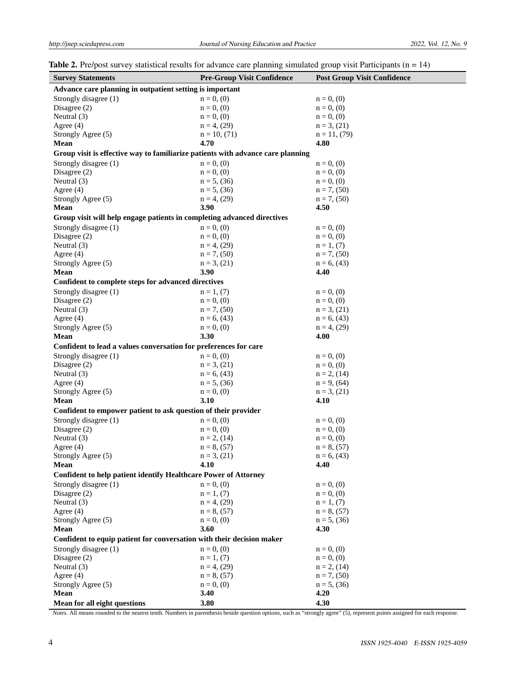|  | <b>Table 2.</b> Pre/post survey statistical results for advance care planning simulated group visit Participants ( $n = 14$ ) |
|--|-------------------------------------------------------------------------------------------------------------------------------|
|  |                                                                                                                               |

| <b>Survey Statements</b>                                                        | <b>Pre-Group Visit Confidence</b> | <b>Post Group Visit Confidence</b> |  |  |
|---------------------------------------------------------------------------------|-----------------------------------|------------------------------------|--|--|
| Advance care planning in outpatient setting is important                        |                                   |                                    |  |  |
| Strongly disagree (1)                                                           | $n = 0, (0)$                      | $n = 0, (0)$                       |  |  |
| Disagree $(2)$                                                                  | $n = 0, (0)$                      | $n = 0, (0)$                       |  |  |
| Neutral $(3)$                                                                   | $n = 0, (0)$                      | $n = 0, (0)$                       |  |  |
| Agree $(4)$                                                                     | $n = 4$ , (29)                    | $n = 3, (21)$                      |  |  |
| Strongly Agree (5)                                                              | $n = 10, (71)$                    | $n = 11, (79)$                     |  |  |
| Mean                                                                            | 4.70                              | 4.80                               |  |  |
| Group visit is effective way to familiarize patients with advance care planning |                                   |                                    |  |  |
| Strongly disagree (1)                                                           | $n = 0, (0)$                      | $n = 0, (0)$                       |  |  |
| Disagree $(2)$                                                                  | $n = 0, (0)$                      | $n = 0, (0)$                       |  |  |
| Neutral $(3)$                                                                   | $n = 5, (36)$                     | $n = 0, (0)$                       |  |  |
| Agree $(4)$                                                                     | $n = 5$ , (36)                    | $n = 7, (50)$                      |  |  |
| Strongly Agree (5)                                                              | $n = 4$ , (29)                    | $n = 7, (50)$                      |  |  |
| Mean                                                                            | 3.90                              | 4.50                               |  |  |
| Group visit will help engage patients in completing advanced directives         |                                   |                                    |  |  |
| Strongly disagree (1)                                                           | $n = 0, (0)$                      | $n = 0, (0)$                       |  |  |
| Disagree $(2)$                                                                  | $n = 0, (0)$                      | $n = 0, (0)$                       |  |  |
| Neutral (3)                                                                     | $n = 4$ , (29)                    | $n = 1, (7)$                       |  |  |
| Agree $(4)$                                                                     | $n = 7, (50)$                     | $n = 7, (50)$                      |  |  |
| Strongly Agree (5)                                                              | $n = 3, (21)$                     | $n = 6, (43)$                      |  |  |
| Mean                                                                            | 3.90                              | 4.40                               |  |  |
| Confident to complete steps for advanced directives                             |                                   |                                    |  |  |
| Strongly disagree (1)                                                           | $n = 1, (7)$                      | $n = 0, (0)$                       |  |  |
| Disagree $(2)$                                                                  | $n = 0, (0)$                      | $n = 0, (0)$                       |  |  |
| Neutral $(3)$                                                                   | $n = 7, (50)$                     | $n = 3$ , (21)                     |  |  |
| Agree $(4)$                                                                     | $n = 6, (43)$                     | $n = 6, (43)$                      |  |  |
| Strongly Agree (5)                                                              | $n = 0, (0)$                      | $n = 4$ , (29)                     |  |  |
| Mean                                                                            | 3.30                              | 4.00                               |  |  |
| Confident to lead a values conversation for preferences for care                |                                   |                                    |  |  |
| Strongly disagree (1)                                                           | $n = 0, (0)$                      | $n = 0, (0)$                       |  |  |
| Disagree $(2)$                                                                  | $n = 3, (21)$                     | $n = 0, (0)$                       |  |  |
| Neutral $(3)$                                                                   | $n = 6, (43)$                     | $n = 2$ , (14)                     |  |  |
| Agree $(4)$                                                                     | $n = 5$ , (36)                    | $n = 9, (64)$                      |  |  |
| Strongly Agree (5)                                                              | $n = 0, (0)$                      | $n = 3$ , (21)                     |  |  |
| Mean                                                                            | 3.10                              | 4.10                               |  |  |
| Confident to empower patient to ask question of their provider                  |                                   |                                    |  |  |
| Strongly disagree (1)                                                           | $n = 0, (0)$                      | $n = 0, (0)$                       |  |  |
| Disagree $(2)$                                                                  | $n = 0, (0)$                      | $n = 0, (0)$                       |  |  |
| Neutral (3)                                                                     | $n = 2$ , (14)                    | $n = 0, (0)$                       |  |  |
| Agree $(4)$                                                                     | $n = 8, (57)$                     | $n = 8, (57)$                      |  |  |
| Strongly Agree (5)                                                              | $n = 3, (21)$                     | $n = 6, (43)$                      |  |  |
| Mean                                                                            | 4.10                              | 4.40                               |  |  |
| <b>Confident to help patient identify Healthcare Power of Attorney</b>          |                                   |                                    |  |  |
| Strongly disagree (1)                                                           | $n = 0, (0)$                      | $n = 0, (0)$                       |  |  |
| Disagree $(2)$                                                                  | $n = 1, (7)$                      | $n = 0, (0)$                       |  |  |
| Neutral (3)                                                                     | $n = 4$ , (29)                    | $n = 1, (7)$                       |  |  |
| Agree $(4)$                                                                     | $n = 8, (57)$                     | $n = 8, (57)$                      |  |  |
| Strongly Agree (5)                                                              | $n = 0, (0)$                      | $n = 5$ , (36)                     |  |  |
| Mean                                                                            | 3.60                              | 4.30                               |  |  |
| Confident to equip patient for conversation with their decision maker           |                                   |                                    |  |  |
| Strongly disagree (1)                                                           | $n = 0, (0)$                      | $n = 0, (0)$                       |  |  |
| Disagree $(2)$                                                                  | $n = 1, (7)$                      | $n = 0, (0)$                       |  |  |
| Neutral (3)                                                                     | $n = 4$ , (29)                    | $n = 2$ , (14)                     |  |  |
| Agree $(4)$                                                                     | $n = 8, (57)$                     | $n = 7, (50)$                      |  |  |
| Strongly Agree (5)                                                              | $n = 0, (0)$                      | $n = 5$ , (36)                     |  |  |
| Mean                                                                            | 3.40                              | 4.20                               |  |  |
| Mean for all eight questions                                                    | 3.80                              | 4.30                               |  |  |

*Notes.* All means rounded to the nearest tenth. Numbers in parenthesis beside question options, such as "strongly agree" (5), represent points assigned for each response.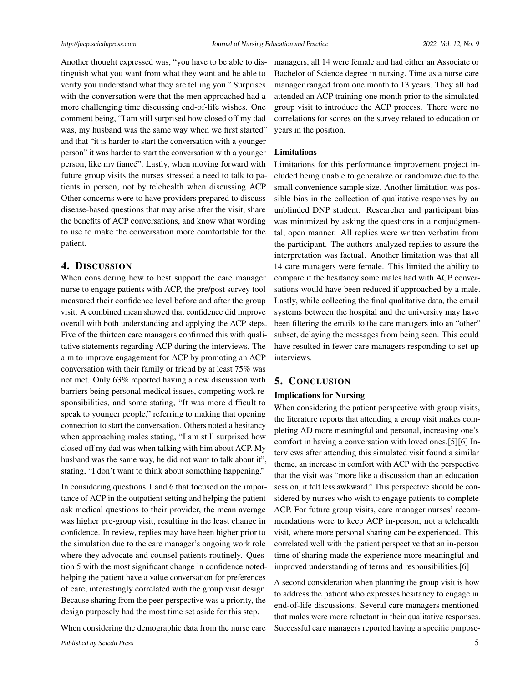Another thought expressed was, "you have to be able to distinguish what you want from what they want and be able to verify you understand what they are telling you." Surprises with the conversation were that the men approached had a more challenging time discussing end-of-life wishes. One comment being, "I am still surprised how closed off my dad was, my husband was the same way when we first started" and that "it is harder to start the conversation with a younger person" it was harder to start the conversation with a younger person, like my fiancé". Lastly, when moving forward with future group visits the nurses stressed a need to talk to patients in person, not by telehealth when discussing ACP. Other concerns were to have providers prepared to discuss disease-based questions that may arise after the visit, share the benefits of ACP conversations, and know what wording to use to make the conversation more comfortable for the patient.

# 4. DISCUSSION

When considering how to best support the care manager nurse to engage patients with ACP, the pre/post survey tool measured their confidence level before and after the group visit. A combined mean showed that confidence did improve overall with both understanding and applying the ACP steps. Five of the thirteen care managers confirmed this with qualitative statements regarding ACP during the interviews. The aim to improve engagement for ACP by promoting an ACP conversation with their family or friend by at least 75% was not met. Only 63% reported having a new discussion with barriers being personal medical issues, competing work responsibilities, and some stating, "It was more difficult to speak to younger people," referring to making that opening connection to start the conversation. Others noted a hesitancy when approaching males stating, "I am still surprised how closed off my dad was when talking with him about ACP. My husband was the same way, he did not want to talk about it", stating, "I don't want to think about something happening."

In considering questions 1 and 6 that focused on the importance of ACP in the outpatient setting and helping the patient ask medical questions to their provider, the mean average was higher pre-group visit, resulting in the least change in confidence. In review, replies may have been higher prior to the simulation due to the care manager's ongoing work role where they advocate and counsel patients routinely. Question 5 with the most significant change in confidence notedhelping the patient have a value conversation for preferences of care, interestingly correlated with the group visit design. Because sharing from the peer perspective was a priority, the design purposely had the most time set aside for this step.

When considering the demographic data from the nurse care

managers, all 14 were female and had either an Associate or Bachelor of Science degree in nursing. Time as a nurse care manager ranged from one month to 13 years. They all had attended an ACP training one month prior to the simulated group visit to introduce the ACP process. There were no correlations for scores on the survey related to education or years in the position.

### Limitations

Limitations for this performance improvement project included being unable to generalize or randomize due to the small convenience sample size. Another limitation was possible bias in the collection of qualitative responses by an unblinded DNP student. Researcher and participant bias was minimized by asking the questions in a nonjudgmental, open manner. All replies were written verbatim from the participant. The authors analyzed replies to assure the interpretation was factual. Another limitation was that all 14 care managers were female. This limited the ability to compare if the hesitancy some males had with ACP conversations would have been reduced if approached by a male. Lastly, while collecting the final qualitative data, the email systems between the hospital and the university may have been filtering the emails to the care managers into an "other" subset, delaying the messages from being seen. This could have resulted in fewer care managers responding to set up interviews.

### 5. CONCLUSION

## Implications for Nursing

When considering the patient perspective with group visits, the literature reports that attending a group visit makes completing AD more meaningful and personal, increasing one's comfort in having a conversation with loved ones.[5][6] Interviews after attending this simulated visit found a similar theme, an increase in comfort with ACP with the perspective that the visit was "more like a discussion than an education session, it felt less awkward." This perspective should be considered by nurses who wish to engage patients to complete ACP. For future group visits, care manager nurses' recommendations were to keep ACP in-person, not a telehealth visit, where more personal sharing can be experienced. This correlated well with the patient perspective that an in-person time of sharing made the experience more meaningful and improved understanding of terms and responsibilities.[6]

A second consideration when planning the group visit is how to address the patient who expresses hesitancy to engage in end-of-life discussions. Several care managers mentioned that males were more reluctant in their qualitative responses. Successful care managers reported having a specific purpose